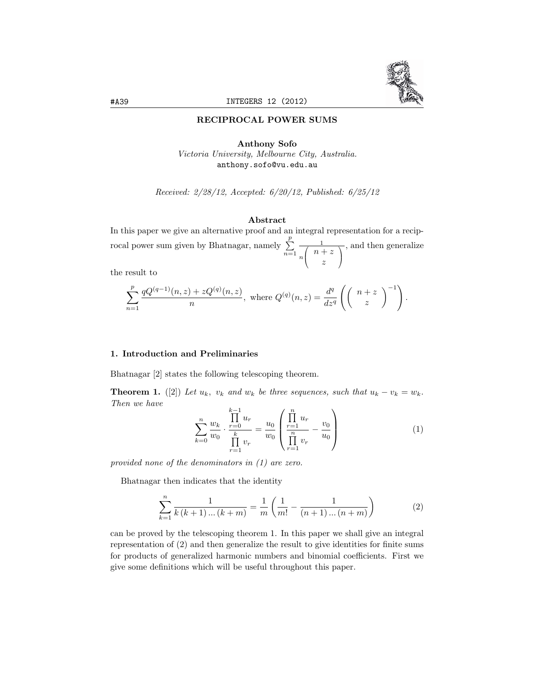

#### RECIPROCAL POWER SUMS

# Anthony Sofo *Victoria University, Melbourne City, Australia.* anthony.sofo@vu.edu.au

*Received: 2/28/12, Accepted: 6/20/12, Published: 6/25/12*

#### Abstract

In this paper we give an alternative proof and an integral representation for a reciprocal power sum given by Bhatnagar, namely  $\sum_{i=1}^{p}$ *n*=1 1 *n* 7  $\left(\begin{array}{c}n+z\\z\end{array}\right)$ *z*  $\sqrt{}$  $\mathbf{I}$ *,* and then generalize

the result to

$$
\sum_{n=1}^{p} \frac{qQ^{(q-1)}(n,z) + zQ^{(q)}(n,z)}{n}, \text{ where } Q^{(q)}(n,z) = \frac{d^q}{dz^q} \left( \begin{pmatrix} n+z \\ z \end{pmatrix}^{-1} \right).
$$

# 1. Introduction and Preliminaries

Bhatnagar [2] states the following telescoping theorem.

**Theorem 1.** ([2]) Let  $u_k$ ,  $v_k$  and  $w_k$  be three sequences, such that  $u_k - v_k = w_k$ . *Then we have*

$$
\sum_{k=0}^{n} \frac{w_k}{w_0} \cdot \frac{\prod_{r=0}^{k-1} u_r}{\prod_{r=1}^{k} v_r} = \frac{u_0}{w_0} \left( \frac{\prod_{r=1}^{n} u_r}{\prod_{r=1}^{n} v_r} - \frac{v_0}{u_0} \right)
$$
(1)

*provided none of the denominators in (1) are zero.*

Bhatnagar then indicates that the identity

$$
\sum_{k=1}^{n} \frac{1}{k(k+1)\dots(k+m)} = \frac{1}{m} \left( \frac{1}{m!} - \frac{1}{(n+1)\dots(n+m)} \right)
$$
(2)

can be proved by the telescoping theorem 1. In this paper we shall give an integral representation of (2) and then generalize the result to give identities for finite sums for products of generalized harmonic numbers and binomial coefficients. First we give some definitions which will be useful throughout this paper.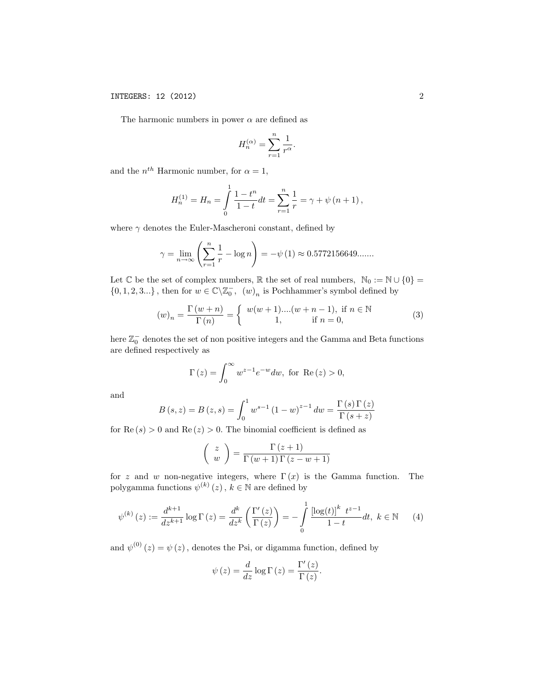The harmonic numbers in power  $\alpha$  are defined as

$$
H_n^{(\alpha)} = \sum_{r=1}^n \frac{1}{r^{\alpha}}.
$$

and the  $n^{th}$  Harmonic number, for  $\alpha = 1$ ,

$$
H_n^{(1)} = H_n = \int_0^1 \frac{1 - t^n}{1 - t} dt = \sum_{r=1}^n \frac{1}{r} = \gamma + \psi (n + 1),
$$

where  $\gamma$  denotes the Euler-Mascheroni constant, defined by

$$
\gamma = \lim_{n \to \infty} \left( \sum_{r=1}^{n} \frac{1}{r} - \log n \right) = -\psi(1) \approx 0.5772156649...
$$

Let  $\mathbb C$  be the set of complex numbers,  $\mathbb R$  the set of real numbers,  $\mathbb N_0 := \mathbb N \cup \{0\} =$  $\{0, 1, 2, 3...\}$ , then for  $w \in \mathbb{C} \backslash \mathbb{Z}_0^-$ ,  $(w)_n$  is Pochhammer's symbol defined by

$$
(w)_n = \frac{\Gamma(w+n)}{\Gamma(n)} = \begin{cases} w(w+1)...(w+n-1), & \text{if } n \in \mathbb{N} \\ 1, & \text{if } n = 0, \end{cases}
$$
 (3)

here  $\mathbb{Z}^-_0$  denotes the set of non positive integers and the Gamma and Beta functions are defined respectively as

$$
\Gamma(z) = \int_0^\infty w^{z-1} e^{-w} dw, \text{ for } \text{Re}(z) > 0,
$$

and

$$
B(s, z) = B(z, s) = \int_0^1 w^{s-1} (1 - w)^{z-1} dw = \frac{\Gamma(s) \Gamma(z)}{\Gamma(s + z)}
$$

for  $\text{Re}(s) > 0$  and  $\text{Re}(z) > 0$ . The binomial coefficient is defined as

$$
\left(\begin{array}{c}z\\w\end{array}\right)=\frac{\Gamma\left(z+1\right)}{\Gamma\left(w+1\right)\Gamma\left(z-w+1\right)}
$$

for *z* and *w* non-negative integers, where  $\Gamma(x)$  is the Gamma function. The polygamma functions  $\psi^{(k)}(z)$ ,  $k \in \mathbb{N}$  are defined by

$$
\psi^{(k)}(z) := \frac{d^{k+1}}{dz^{k+1}} \log \Gamma(z) = \frac{d^k}{dz^k} \left( \frac{\Gamma'(z)}{\Gamma(z)} \right) = -\int_0^1 \frac{\left[ \log(t) \right]^k \ t^{z-1}}{1-t} dt, \ k \in \mathbb{N} \tag{4}
$$

and  $\psi^{(0)}(z) = \psi(z)$ , denotes the Psi, or digamma function, defined by

$$
\psi(z) = \frac{d}{dz} \log \Gamma(z) = \frac{\Gamma'(z)}{\Gamma(z)}.
$$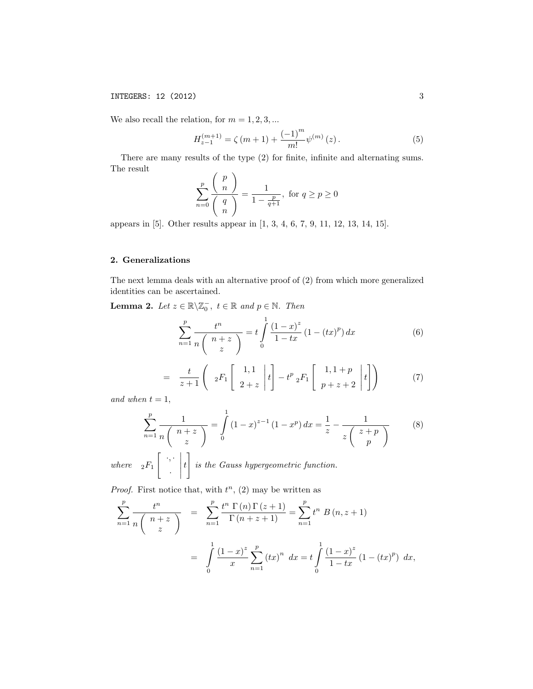# **INTEGERS: 12 (2012)** 3

We also recall the relation, for  $m = 1, 2, 3, \dots$ 

$$
H_{z-1}^{(m+1)} = \zeta(m+1) + \frac{(-1)^m}{m!} \psi^{(m)}(z).
$$
 (5)

There are many results of the type (2) for finite, infinite and alternating sums. The result \$ *p*  $\lambda$ 

$$
\sum_{n=0}^{p} \frac{\binom{p}{n}}{\binom{q}{n}} = \frac{1}{1 - \frac{p}{q+1}}, \text{ for } q \ge p \ge 0
$$

appears in [5]. Other results appear in [1, 3, 4, 6, 7, 9, 11, 12, 13, 14, 15].

### 2. Generalizations

The next lemma deals with an alternative proof of (2) from which more generalized identities can be ascertained.

**Lemma 2.** *Let*  $z \in \mathbb{R} \setminus \mathbb{Z}_0^-$ ,  $t \in \mathbb{R}$  and  $p \in \mathbb{N}$ . Then

$$
\sum_{n=1}^{p} \frac{t^n}{n \binom{n+z}{z}} = t \int_{0}^{1} \frac{(1-x)^z}{1-tx} (1-(tx)^p) dx \tag{6}
$$

$$
= \frac{t}{z+1} \left( 2F_1 \begin{bmatrix} 1,1 \\ 2+z \end{bmatrix} t \right) - t^p {}_2F_1 \begin{bmatrix} 1,1+p \\ p+z+2 \end{bmatrix} t \right) \tag{7}
$$

*and* when  $t = 1$ ,

$$
\sum_{n=1}^{p} \frac{1}{n \binom{n+z}{z}} = \int_{0}^{1} (1-x)^{z-1} (1-x^p) dx = \frac{1}{z} - \frac{1}{z \binom{z+p}{p}}
$$
(8)

*where*  ${}_2F_1$   $\Big[$   $\cdot$ *,*  $\cdot$ *·* |<br>|<br>|<br>|<br>|<br>| *t is the Gauss hypergeometric function.*

1

*Proof.* First notice that, with  $t^n$ , (2) may be written as

$$
\sum_{n=1}^{p} \frac{t^n}{n \binom{n+z}{z}} = \sum_{n=1}^{p} \frac{t^n \Gamma(n) \Gamma(z+1)}{\Gamma(n+z+1)} = \sum_{n=1}^{p} t^n B(n, z+1)
$$

$$
= \int_{0}^{1} \frac{(1-x)^z}{x} \sum_{n=1}^{p} (tx)^n dx = t \int_{0}^{1} \frac{(1-x)^z}{1-tx} (1-(tx)^p) dx,
$$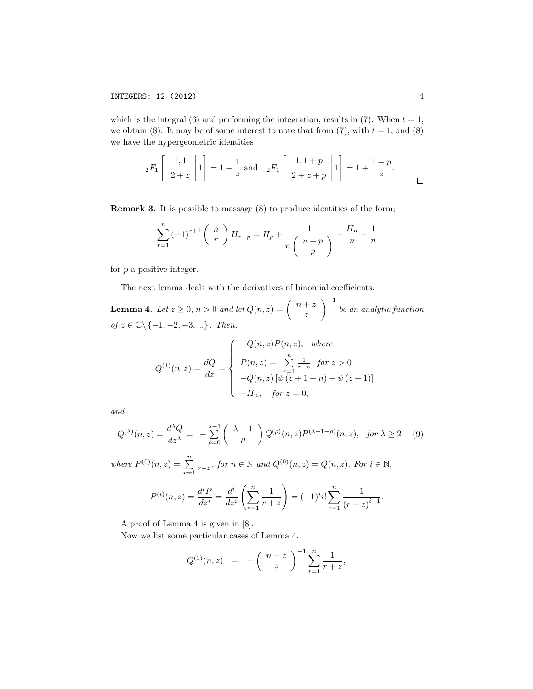which is the integral  $(6)$  and performing the integration, results in  $(7)$ . When  $t = 1$ , we obtain  $(8)$ . It may be of some interest to note that from  $(7)$ , with  $t = 1$ , and  $(8)$ we have the hypergeometric identities

$$
_2F_1\begin{bmatrix} 1,1 \\ 2+z \end{bmatrix} 1 = 1 + \frac{1}{z}
$$
 and  $_2F_1\begin{bmatrix} 1,1+p \\ 2+z+p \end{bmatrix} 1 = 1 + \frac{1+p}{z}$ .

Remark 3. It is possible to massage (8) to produce identities of the form;

$$
\sum_{r=1}^{n} (-1)^{r+1} {n \choose r} H_{r+p} = H_p + \frac{1}{n \binom{n+p}{p}} + \frac{H_n}{n} - \frac{1}{n}
$$

for *p* a positive integer.

The next lemma deals with the derivatives of binomial coefficients.

**Lemma 4.** Let  $z \geq 0$ ,  $n > 0$  and let  $Q(n, z) =$  $\int n+z$ *z*  $\setminus$ <sup>-1</sup> *be an analytic function of z* ∈ C*\ {*−1*,* −2*,* −3*, ...} . Then,*

$$
Q^{(1)}(n,z) = \frac{dQ}{dz} = \begin{cases} -Q(n,z)P(n,z), & \text{where} \\ P(n,z) = \sum_{r=1}^{n} \frac{1}{r+z} & \text{for } z > 0 \\ -Q(n,z) \left[ \psi \left( z+1+n \right) - \psi \left( z+1 \right) \right] \\ -H_n, & \text{for } z = 0, \end{cases}
$$

*and*

$$
Q^{(\lambda)}(n,z) = \frac{d^{\lambda}Q}{dz^{\lambda}} = -\sum_{\rho=0}^{\lambda-1} \left( \begin{array}{c} \lambda - 1 \\ \rho \end{array} \right) Q^{(\rho)}(n,z) P^{(\lambda - 1 - \rho)}(n,z), \quad \text{for } \lambda \ge 2 \quad (9)
$$

*where*  $P^{(0)}(n, z) = \sum_{r=1}^{n}$  $\frac{1}{r+z}$ , for  $n \in \mathbb{N}$  and  $Q^{(0)}(n,z) = Q(n,z)$ . For  $i \in \mathbb{N}$ ,

$$
P^{(i)}(n,z) = \frac{d^{i}P}{dz^{i}} = \frac{d^{i}}{dz^{i}} \left(\sum_{r=1}^{n} \frac{1}{r+z}\right) = (-1)^{i}i!\sum_{r=1}^{n} \frac{1}{(r+z)^{i+1}}.
$$

A proof of Lemma 4 is given in [8].

Now we list some particular cases of Lemma 4.

$$
Q^{(1)}(n,z) = -\left(\begin{array}{c}n+z\\z\end{array}\right)^{-1} \sum_{r=1}^{n} \frac{1}{r+z},
$$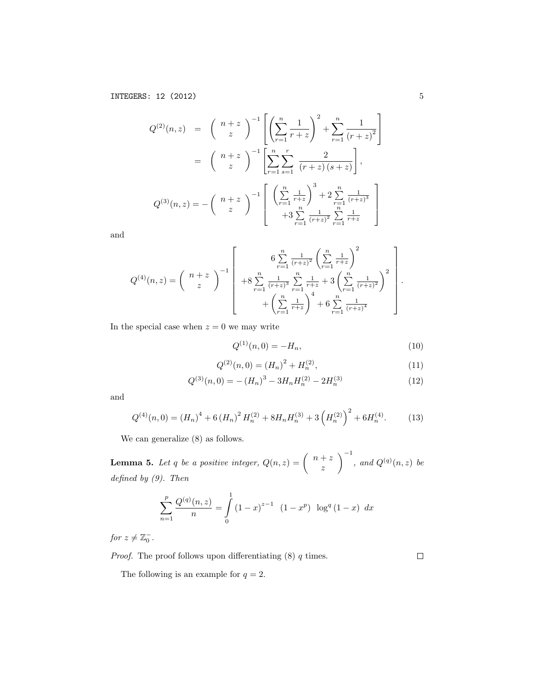$$
Q^{(2)}(n,z) = \binom{n+z}{z}^{-1} \left[ \left( \sum_{r=1}^{n} \frac{1}{r+z} \right)^2 + \sum_{r=1}^{n} \frac{1}{(r+z)^2} \right]
$$
  

$$
= \binom{n+z}{z}^{-1} \left[ \sum_{r=1}^{n} \sum_{s=1}^{r} \frac{2}{(r+z)(s+z)} \right],
$$
  

$$
Q^{(3)}(n,z) = -\binom{n+z}{z}^{-1} \left[ \left( \sum_{r=1}^{n} \frac{1}{r+z} \right)^3 + 2 \sum_{r=1}^{n} \frac{1}{(r+z)^3} \right]
$$
  

$$
+3 \sum_{r=1}^{n} \frac{1}{(r+z)^2} \sum_{r=1}^{n} \frac{1}{r+z}
$$

and

$$
Q^{(4)}(n,z) = {n+z \choose z}^{-1} \left[ 6 \sum_{r=1}^{n} \frac{1}{(r+z)^2} \left( \sum_{r=1}^{n} \frac{1}{r+z} \right)^2 + 8 \sum_{r=1}^{n} \frac{1}{(r+z)^3} \sum_{r=1}^{n} \frac{1}{r+z} + 3 \left( \sum_{r=1}^{n} \frac{1}{(r+z)^2} \right)^2 + \left( \sum_{r=1}^{n} \frac{1}{r+z} \right)^4 + 6 \sum_{r=1}^{n} \frac{1}{(r+z)^4} \right].
$$

In the special case when  $z = 0$  we may write

$$
Q^{(1)}(n,0) = -H_n,\t\t(10)
$$

$$
Q^{(2)}(n,0) = (H_n)^2 + H_n^{(2)},\tag{11}
$$

$$
Q^{(3)}(n,0) = -(H_n)^3 - 3H_nH_n^{(2)} - 2H_n^{(3)}
$$
\n(12)

and

$$
Q^{(4)}(n,0) = (H_n)^4 + 6(H_n)^2 H_n^{(2)} + 8H_n H_n^{(3)} + 3\left(H_n^{(2)}\right)^2 + 6H_n^{(4)}.
$$
 (13)

We can generalize (8) as follows.

**Lemma 5.** Let q be a positive integer,  $Q(n, z) = \begin{pmatrix} n+z \end{pmatrix}$ *z*  $\setminus$ <sup>-1</sup> *,* and  $Q^{(q)}(n,z)$  be *defined by (9). Then*

$$
\sum_{n=1}^{p} \frac{Q^{(q)}(n,z)}{n} = \int_{0}^{1} (1-x)^{z-1} (1-x^p) \log^{q} (1-x) dx
$$

*for*  $z \neq \mathbb{Z}_0^-$ .

*Proof.* The proof follows upon differentiating (8) *q* times.

 $\Box$ 

The following is an example for  $q = 2$ .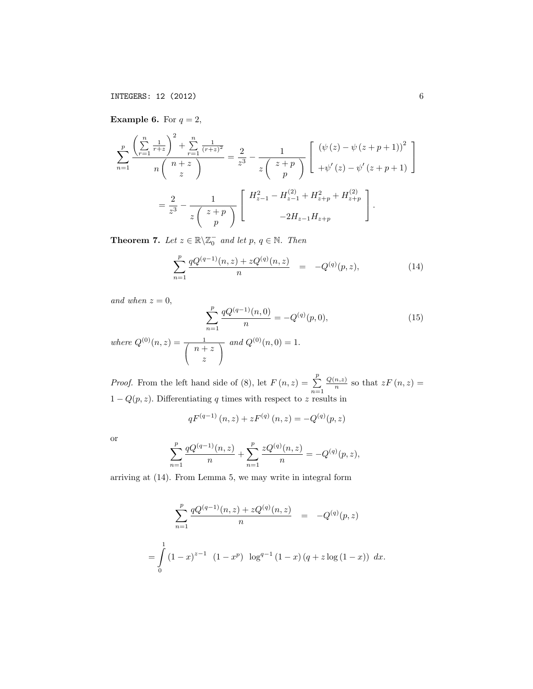**Example 6.** For  $q = 2$ ,

$$
\sum_{n=1}^{p} \frac{\left(\sum_{r=1}^{n} \frac{1}{r+z}\right)^2 + \sum_{r=1}^{n} \frac{1}{(r+z)^2}}{n \binom{n+z}{z}} = \frac{2}{z^3} - \frac{1}{z \binom{z+p}{p}} \left[ \begin{array}{c} (\psi(z) - \psi(z+p+1))^2 \\ + \psi'(z) - \psi'(z+p+1) \end{array} \right]
$$

$$
= \frac{2}{z^3} - \frac{1}{z \binom{z+p}{p}} \left[ \begin{array}{c} H_{z-1}^2 - H_{z-1}^{(2)} + H_{z+p}^2 + H_{z+p}^{(2)} \\ -2H_{z-1}H_{z+p} \end{array} \right].
$$

**Theorem 7.** Let  $z \in \mathbb{R} \setminus \mathbb{Z}_0^-$  and let  $p, q \in \mathbb{N}$ . Then

$$
\sum_{n=1}^{p} \frac{qQ^{(q-1)}(n,z) + zQ^{(q)}(n,z)}{n} = -Q^{(q)}(p,z), \tag{14}
$$

*and when*  $z = 0$ *,* 

$$
\sum_{n=1}^{p} \frac{qQ^{(q-1)}(n,0)}{n} = -Q^{(q)}(p,0),\tag{15}
$$

*where*  $Q^{(0)}(n, z) = \frac{1}{\sqrt{n+1}}$  $\left(\begin{array}{c}n+z\\z\end{array}\right)$ *z*  $\sqrt{}$  $\mathbf{I}$  $and Q^{(0)}(n, 0) = 1.$ 

*Proof.* From the left hand side of (8), let  $F(n, z) = \sum_{n=1}^{p}$  $\frac{Q(n,z)}{n}$  so that  $zF(n,z) =$  $1 - Q(p, z)$ . Differentiating q times with respect to z results in

$$
qF^{(q-1)}(n, z) + zF^{(q)}(n, z) = -Q^{(q)}(p, z)
$$

or

$$
\sum_{n=1}^{p} \frac{qQ^{(q-1)}(n,z)}{n} + \sum_{n=1}^{p} \frac{zQ^{(q)}(n,z)}{n} = -Q^{(q)}(p,z),
$$

arriving at (14). From Lemma 5, we may write in integral form

$$
\sum_{n=1}^{p} \frac{qQ^{(q-1)}(n,z) + zQ^{(q)}(n,z)}{n} = -Q^{(q)}(p,z)
$$

$$
= \int_{0}^{1} (1-x)^{z-1} (1-x^p) \log^{q-1} (1-x) (q+z \log(1-x)) dx.
$$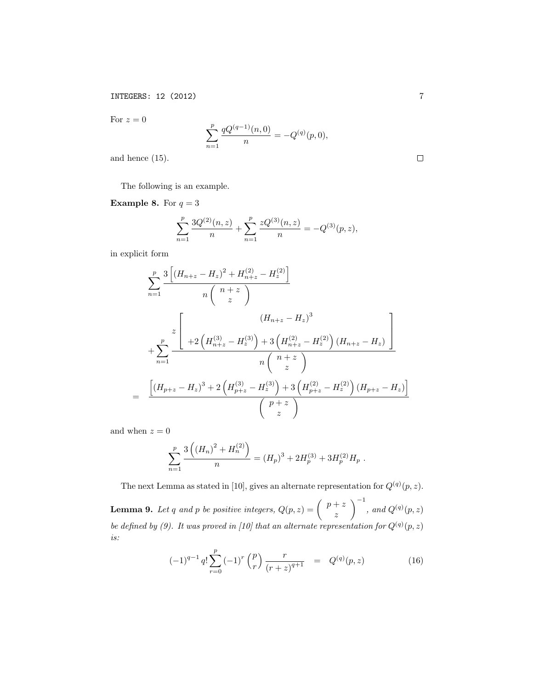For  $z=0$ 

$$
\sum_{n=1}^{p} \frac{qQ^{(q-1)}(n,0)}{n} = -Q^{(q)}(p,0),
$$

and hence (15).

The following is an example.

**Example 8.** For  $q = 3$ 

$$
\sum_{n=1}^{p} \frac{3Q^{(2)}(n,z)}{n} + \sum_{n=1}^{p} \frac{zQ^{(3)}(n,z)}{n} = -Q^{(3)}(p,z),
$$

in explicit form

$$
\sum_{n=1}^{p} \frac{3\left[\left(H_{n+z} - H_z\right)^2 + H_{n+z}^{(2)} - H_z^{(2)}\right]}{n\left(n+z\right)}
$$
\n
$$
+ \sum_{n=1}^{p} \frac{z\left[ \left(H_{n+z} - H_z\right)^3 + 3\left(H_{n+z}^{(2)} - H_z^{(2)}\right)\left(H_{n+z} - H_z\right)\right]}{n\left(n+z\right)}
$$
\n
$$
= \frac{\left[\left(H_{p+z} - H_z\right)^3 + 2\left(H_{p+z}^{(3)} - H_z^{(3)}\right) + 3\left(H_{p+z}^{(2)} - H_z^{(2)}\right)\left(H_{p+z} - H_z\right)\right]}{\left(n+z\right)}
$$
\n
$$
\left(\begin{array}{c} p+z\\ z \end{array}\right)}
$$

and when  $z=0$ 

$$
\sum_{n=1}^{p} \frac{3\left((H_n)^2 + H_n^{(2)}\right)}{n} = (H_p)^3 + 2H_p^{(3)} + 3H_p^{(2)}H_p.
$$

The next Lemma as stated in [10], gives an alternate representation for  $Q^{(q)}(p, z)$ .

**Lemma 9.** Let *q* and *p* be positive integers,  $Q(p, z) = \begin{pmatrix} p+z \end{pmatrix}$ *z*  $\setminus$ <sup>-1</sup> *,* and  $Q^{(q)}(p, z)$ *be defined by* (9). It was proved in [10] that an alternate representation for  $Q^{(q)}(p, z)$ *is:*

$$
(-1)^{q-1} q! \sum_{r=0}^{p} (-1)^{r} {p \choose r} \frac{r}{(r+z)^{q+1}} = Q^{(q)}(p,z) \qquad (16)
$$

 $\Box$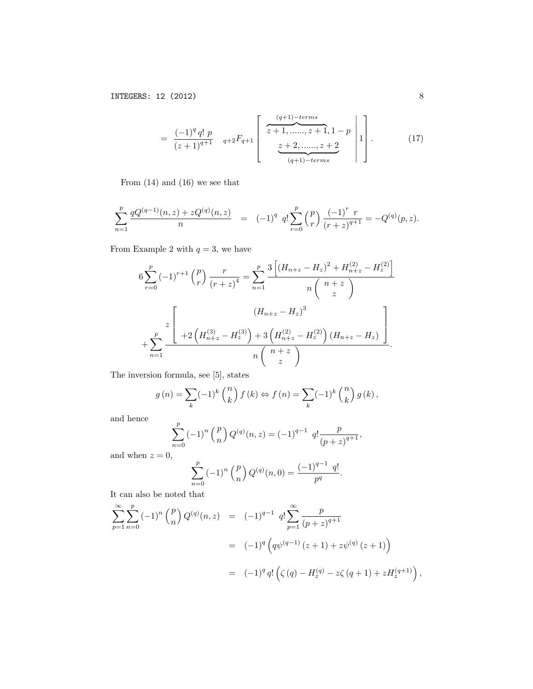$$
= \frac{(-1)^{q} q! p}{(z+1)^{q+1}} \quad {}_{q+2}F_{q+1} \left[ \begin{array}{c} \overbrace{z+1, \dots, z+1, 1-p}^{(q+1)-terms} \\ \overbrace{z+2, \dots, z+2}^{(q+1)-terms} \end{array} \right] . \tag{17}
$$

From (14) and (16) we see that

$$
\sum_{n=1}^{p} \frac{qQ^{(q-1)}(n,z) + zQ^{(q)}(n,z)}{n} = (-1)^q q! \sum_{r=0}^{p} {p \choose r} \frac{(-1)^r r}{(r+z)^{q+1}} = -Q^{(q)}(p,z).
$$

From Example 2 with  $q = 3$ , we have

$$
6\sum_{r=0}^{p}(-1)^{r+1}\binom{p}{r}\frac{r}{(r+z)^{4}} = \sum_{n=1}^{p}\frac{3\left[\left(H_{n+z}-H_{z}\right)^{2}+H_{n+z}^{(2)}-H_{z}^{(2)}\right]}{n\left(n+z\right)}
$$

$$
+\sum_{n=1}^{p}\frac{z\left[H_{n+z}-H_{z}^{(3)}\right)+3\left(H_{n+z}^{(2)}-H_{z}^{(2)}\right)\left(H_{n+z}-H_{z}\right)}{n\left(n+z\right)}.
$$

The inversion formula, see [5], states

$$
g(n) = \sum_{k} (-1)^{k} {n \choose k} f(k) \Leftrightarrow f(n) = \sum_{k} (-1)^{k} {n \choose k} g(k),
$$

and hence

$$
\sum_{n=0}^{p} (-1)^n {p \choose n} Q^{(q)}(n, z) = (-1)^{q-1} q! \frac{p}{(p+z)^{q+1}},
$$

and when  $z = 0$ ,

$$
\sum_{n=0}^{p} (-1)^n {p \choose n} Q^{(q)}(n,0) = \frac{(-1)^{q-1} q!}{p^q}.
$$

It can also be noted that

$$
\sum_{p=1}^{\infty} \sum_{n=0}^{p} (-1)^{n} {p \choose n} Q^{(q)}(n, z) = (-1)^{q-1} q! \sum_{p=1}^{\infty} \frac{p}{(p+z)^{q+1}}
$$
  
= 
$$
(-1)^{q} \left( q\psi^{(q-1)}(z+1) + z\psi^{(q)}(z+1) \right)
$$
  
= 
$$
(-1)^{q} q! \left( \zeta(q) - H_{z}^{(q)} - z\zeta(q+1) + zH_{z}^{(q+1)} \right),
$$